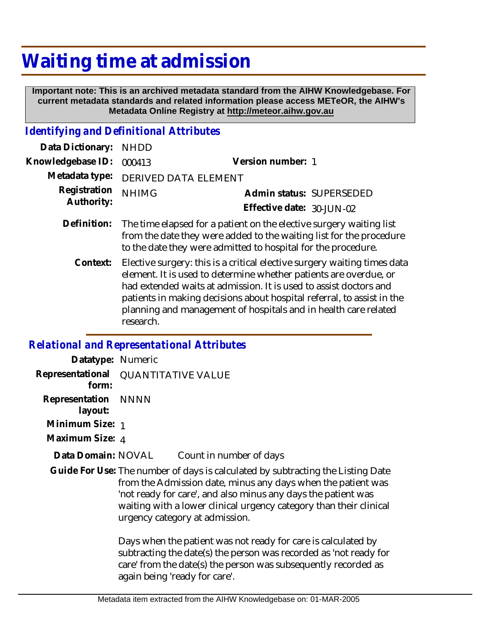## **Waiting time at admission**

 **Important note: This is an archived metadata standard from the AIHW Knowledgebase. For current metadata standards and related information please access METeOR, the AIHW's Metadata Online Registry at http://meteor.aihw.gov.au**

## *Identifying and Definitional Attributes*

| Data Dictionary:           | <b>NHDD</b>                                                                                                                                                                                                                                                                                  |                           |  |
|----------------------------|----------------------------------------------------------------------------------------------------------------------------------------------------------------------------------------------------------------------------------------------------------------------------------------------|---------------------------|--|
| Knowledgebase ID:          | 000413                                                                                                                                                                                                                                                                                       | Version number: 1         |  |
| Metadata type:             | DERIVED DATA ELEMENT                                                                                                                                                                                                                                                                         |                           |  |
| Registration<br>Authority: | <b>NHIMG</b>                                                                                                                                                                                                                                                                                 | Admin status: SUPERSEDED  |  |
|                            |                                                                                                                                                                                                                                                                                              | Effective date: 30-JUN-02 |  |
| Definition:                | The time elapsed for a patient on the elective surgery waiting list<br>from the date they were added to the waiting list for the procedure<br>to the date they were admitted to hospital for the procedure.                                                                                  |                           |  |
| Context:                   | Elective surgery: this is a critical elective surgery waiting times data<br>element. It is used to determine whether patients are overdue, or<br>had extended waits at admission. It is used to assist doctors and<br>patients in making decisions about hospital referral, to assist in the |                           |  |

planning and management of hospitals and in health care related

*Relational and Representational Attributes*

research.

| Datatype: Numeric                            |                                                                                                                                                                                                                                                                                                                          |                                                                                                                                                                                                      |  |
|----------------------------------------------|--------------------------------------------------------------------------------------------------------------------------------------------------------------------------------------------------------------------------------------------------------------------------------------------------------------------------|------------------------------------------------------------------------------------------------------------------------------------------------------------------------------------------------------|--|
| Representational QUANTITATIVE VALUE<br>form: |                                                                                                                                                                                                                                                                                                                          |                                                                                                                                                                                                      |  |
| Representation NNNN<br>layout:               |                                                                                                                                                                                                                                                                                                                          |                                                                                                                                                                                                      |  |
| Minimum Size: 1                              |                                                                                                                                                                                                                                                                                                                          |                                                                                                                                                                                                      |  |
| Maximum Size: 4                              |                                                                                                                                                                                                                                                                                                                          |                                                                                                                                                                                                      |  |
| Data Domain: NOVAL                           |                                                                                                                                                                                                                                                                                                                          | Count in number of days                                                                                                                                                                              |  |
|                                              | Guide For Use: The number of days is calculated by subtracting the Listing Date<br>from the Admission date, minus any days when the patient was<br>'not ready for care', and also minus any days the patient was<br>waiting with a lower clinical urgency category than their clinical<br>urgency category at admission. |                                                                                                                                                                                                      |  |
|                                              |                                                                                                                                                                                                                                                                                                                          | Days when the patient was not ready for care is calculated by<br>subtracting the date(s) the person was recorded as 'not ready for<br>care' from the date(s) the person was subsequently recorded as |  |

again being 'ready for care'.